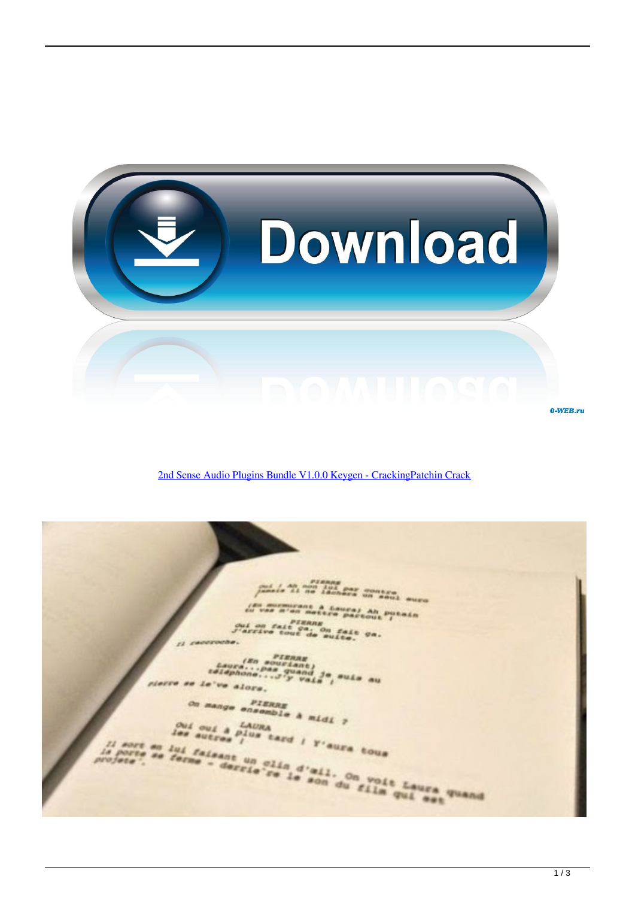

[2nd Sense Audio Plugins Bundle V1.0.0 Keygen - CrackingPatchin Crack](https://blltly.com/1q9an1)

Lis an ann lui par contra<br>Lis al no lechers un soul auro **M'AN RAC** Ah putain ui on fait canne<br>arrivo tout de puite, ca. taura."<br>*Deura." Pas quanta*<br>*esiaphone....3'y vaia* , suis au<br>e've alors.  $\overline{A}$ ve alors. mange ensemble à midi ? Oui oui a LAURA<br>les autres l'us tard ! l'aura tous sort en lui faisant un clin d'ail. On voit Laura quand i. **POS'EA**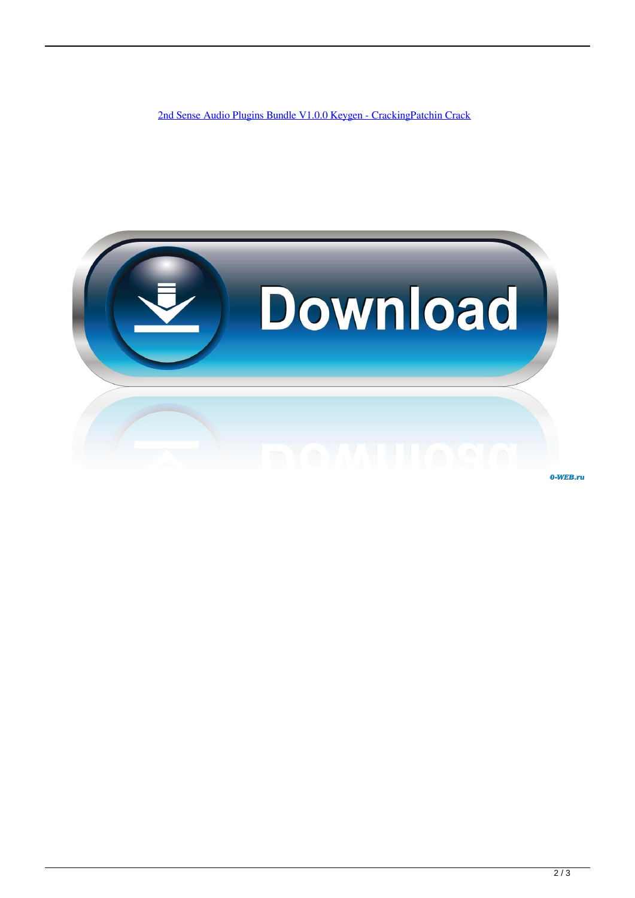[2nd Sense Audio Plugins Bundle V1.0.0 Keygen - CrackingPatchin Crack](https://blltly.com/1q9an1)



0-WEB.ru